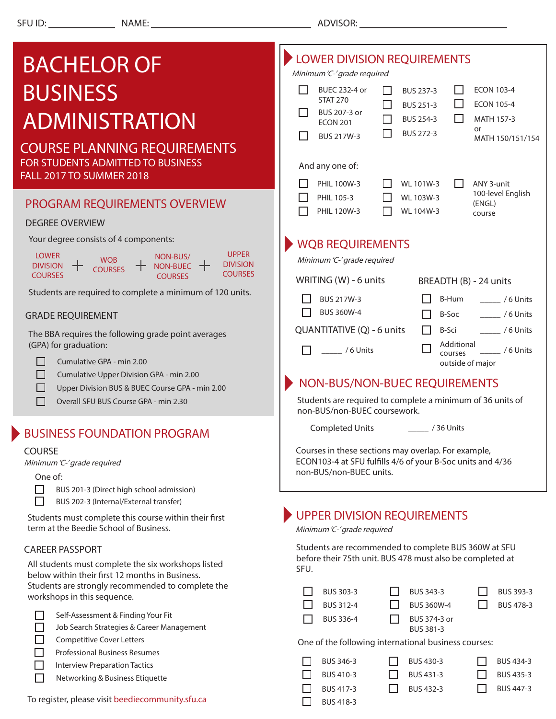п.

| <b>BACHELOR OF</b>                                                                                                         | LOWER DIVISION REQUIREMENTS<br>Minimum 'C-' grade required                                                                                              |  |  |  |  |  |
|----------------------------------------------------------------------------------------------------------------------------|---------------------------------------------------------------------------------------------------------------------------------------------------------|--|--|--|--|--|
| <b>BUSINESS</b>                                                                                                            | <b>BUEC 232-4 or</b><br><b>ECON 103-4</b><br>BUS 237-3<br><b>STAT 270</b><br><b>ECON 105-4</b><br>BUS 251-3<br>$\mathsf{L}$                             |  |  |  |  |  |
| <b>ADMINISTRATION</b>                                                                                                      | BUS 207-3 or<br><b>BUS 254-3</b><br>MATH 157-3<br>$\Box$<br>LΙ<br><b>ECON 201</b>                                                                       |  |  |  |  |  |
| <b>COURSE PLANNING REQUIREMENTS</b>                                                                                        | or<br>BUS 272-3<br>BUS 217W-3<br>MATH 150/151/154                                                                                                       |  |  |  |  |  |
| FOR STUDENTS ADMITTED TO BUSINESS<br>FALL 2017 TO SUMMER 2018                                                              | And any one of:                                                                                                                                         |  |  |  |  |  |
|                                                                                                                            | PHIL 100W-3<br>WL 101W-3<br>ANY 3-unit<br>l 1<br>100-level English<br>WL 103W-3<br>PHIL 105-3                                                           |  |  |  |  |  |
| PROGRAM REQUIREMENTS OVERVIEW<br><b>DEGREE OVERVIEW</b>                                                                    | (ENGL)<br>PHIL 120W-3<br>WL 104W-3<br>course                                                                                                            |  |  |  |  |  |
| Your degree consists of 4 components:                                                                                      |                                                                                                                                                         |  |  |  |  |  |
| <b>UPPER</b><br><b>LOWER</b><br>NON-BUS/<br><b>WQB</b>                                                                     | <b>WQB REQUIREMENTS</b><br>Minimum 'C-' grade required                                                                                                  |  |  |  |  |  |
| <b>DIVISION</b><br>NON-BUEC $+$<br><b>DIVISION</b><br><b>COURSES</b><br><b>COURSES</b><br><b>COURSES</b><br><b>COURSES</b> | WRITING (W) - 6 units<br>BREADTH (B) - 24 units                                                                                                         |  |  |  |  |  |
| Students are required to complete a minimum of 120 units.                                                                  | BUS 217W-3<br>B-Hum<br>/6 Units                                                                                                                         |  |  |  |  |  |
| <b>GRADE REQUIREMENT</b>                                                                                                   | <b>BUS 360W-4</b><br>B-Soc<br>/6 Units                                                                                                                  |  |  |  |  |  |
| The BBA requires the following grade point averages<br>(GPA) for graduation:                                               | QUANTITATIVE (Q) - 6 units<br>B-Sci<br>/6 Units<br>Additional<br>/6 Units<br>$/6$ Units<br>courses<br>outside of major<br>NON-BUS/NON-BUEC REQUIREMENTS |  |  |  |  |  |
| Cumulative GPA - min 2.00                                                                                                  |                                                                                                                                                         |  |  |  |  |  |
| Cumulative Upper Division GPA - min 2.00                                                                                   |                                                                                                                                                         |  |  |  |  |  |
| Upper Division BUS & BUEC Course GPA - min 2.00<br>Overall SFU BUS Course GPA - min 2.30                                   | Students are required to complete a minimum of 36 units of<br>non-BUS/non-BUEC coursework.                                                              |  |  |  |  |  |
| <b>BUSINESS FOUNDATION PROGRAM</b>                                                                                         | <b>Completed Units</b><br>$\frac{1}{2}$ / 36 Units                                                                                                      |  |  |  |  |  |
| <b>COURSE</b>                                                                                                              | Courses in these sections may overlap. For example,<br>ECON103-4 at SFU fulfills 4/6 of your B-Soc units and 4/36<br>non-BUS/non-BUEC units.            |  |  |  |  |  |
| Minimum 'C-' grade required<br>One of:                                                                                     |                                                                                                                                                         |  |  |  |  |  |
| BUS 201-3 (Direct high school admission)<br>$\mathcal{L}_{\mathcal{A}}$<br>BUS 202-3 (Internal/External transfer)          |                                                                                                                                                         |  |  |  |  |  |
| Students must complete this course within their first<br>term at the Beedie School of Business.                            | <b>UPPER DIVISION REQUIREMENTS</b><br>Minimum 'C-' grade required                                                                                       |  |  |  |  |  |
| <b>CAREER PASSPORT</b><br>All students must complete the six workshops listed                                              | Students are recommended to complete BUS 360W at SFU<br>before their 75th unit. BUS 478 must also be completed at                                       |  |  |  |  |  |
| below within their first 12 months in Business.                                                                            | SFU.                                                                                                                                                    |  |  |  |  |  |
| Students are strongly recommended to complete the<br>workshops in this sequence.                                           | BUS 303-3<br>BUS 343-3<br>BUS 393-3<br>BUS 312-4<br>BUS 478-3<br><b>BUS 360W-4</b>                                                                      |  |  |  |  |  |
| Self-Assessment & Finding Your Fit                                                                                         | <b>BUS 336-4</b><br>BUS 374-3 or                                                                                                                        |  |  |  |  |  |
| Job Search Strategies & Career Management<br><b>Competitive Cover Letters</b>                                              | BUS 381-3<br>One of the following international business courses:                                                                                       |  |  |  |  |  |
| <b>Professional Business Resumes</b><br>Interview Prenaration Tactics                                                      | BUS 346-3<br>BUS 430-3<br>BUS 434-3                                                                                                                     |  |  |  |  |  |

BUS 417-3

 $\Box$ 

□  $\Box$ 

BUS 418-3

BUS 410-3 BUS 431-3

BUS 432-3

 $\Box$  BUS 435-3

 $\Box$ 

BUS 447-3

- $\Box$ Interview Preparation Tactics
- $\Box$ Networking & Business Etiquette

To register, please visit beediecommunity.sfu.ca